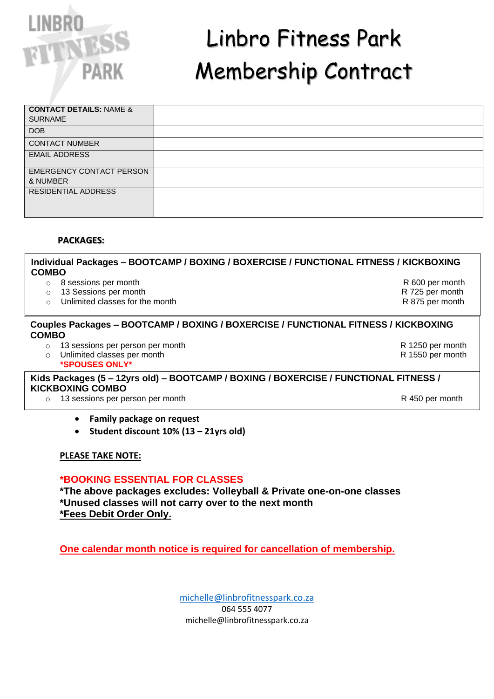

# Linbro Fitness Park Membership Contract

| <b>CONTACT DETAILS: NAME &amp;</b> |  |
|------------------------------------|--|
| <b>SURNAME</b>                     |  |
| <b>DOB</b>                         |  |
| <b>CONTACT NUMBER</b>              |  |
| <b>EMAIL ADDRESS</b>               |  |
|                                    |  |
| EMERGENCY CONTACT PERSON           |  |
| & NUMBER                           |  |
| RESIDENTIAL ADDRESS                |  |
|                                    |  |
|                                    |  |
|                                    |  |

### **PACKAGES:**

**Individual Packages – BOOTCAMP / BOXING / BOXERCISE / FUNCTIONAL FITNESS / KICKBOXING COMBO** o 8 sessions per month R 600 per month

- o 13 Sessions per month R 725 per month
- o Unlimited classes for the month **R** 875 per month

# **Couples Packages – BOOTCAMP / BOXING / BOXERCISE / FUNCTIONAL FITNESS / KICKBOXING COMBO**

- o 13 sessions per person per month **R** 1250 per month R 1250 per month
- o Unlimited classes per month **R** 1550 per month **\*SPOUSES ONLY\***

# **Kids Packages (5 – 12yrs old) – BOOTCAMP / BOXING / BOXERCISE / FUNCTIONAL FITNESS / KICKBOXING COMBO**

 $\circ$  13 sessions per person per month  $\circ$  R 450 per month R 450 per month

- **Family package on request**
- **Student discount 10% (13 – 21yrs old)**

# **PLEASE TAKE NOTE:**

# **\*BOOKING ESSENTIAL FOR CLASSES**

**\*The above packages excludes: Volleyball & Private one-on-one classes \*Unused classes will not carry over to the next month \*Fees Debit Order Only.**

**One calendar month notice is required for cancellation of membership.**

[michelle@linbrofitnesspark.co.za](mailto:michelle@linbrofitnesspark.co.za) 064 555 4077 michelle@linbrofitnesspark.co.za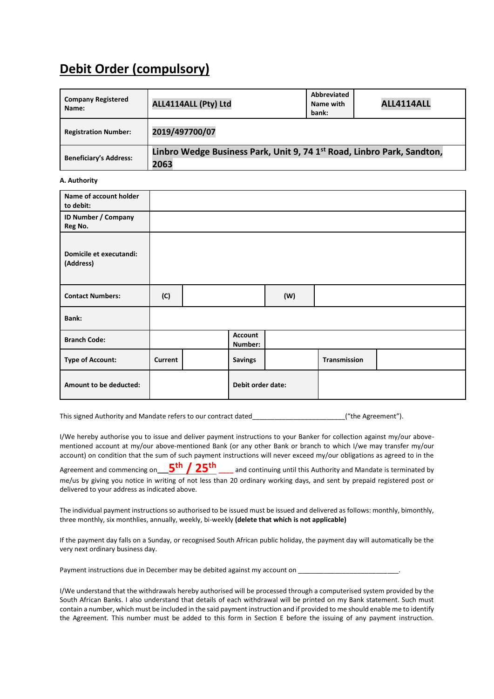# **Debit Order (compulsory)**

| <b>Company Registered</b><br>Name: | ALL4114ALL (Pty) Ltd                                                                       | Abbreviated<br>Name with<br>bank: | ALL4114ALL |
|------------------------------------|--------------------------------------------------------------------------------------------|-----------------------------------|------------|
| <b>Registration Number:</b>        | 2019/497700/07                                                                             |                                   |            |
| <b>Beneficiary's Address:</b>      | Linbro Wedge Business Park, Unit 9, 74 1 <sup>st</sup> Road, Linbro Park, Sandton,<br>2063 |                                   |            |

#### **A. Authority**

| Name of account holder<br>to debit:  |         |                   |                           |     |                     |  |
|--------------------------------------|---------|-------------------|---------------------------|-----|---------------------|--|
| ID Number / Company<br>Reg No.       |         |                   |                           |     |                     |  |
| Domicile et executandi:<br>(Address) |         |                   |                           |     |                     |  |
| <b>Contact Numbers:</b>              | (C)     |                   |                           | (W) |                     |  |
| Bank:                                |         |                   |                           |     |                     |  |
| <b>Branch Code:</b>                  |         |                   | <b>Account</b><br>Number: |     |                     |  |
| <b>Type of Account:</b>              | Current |                   | <b>Savings</b>            |     | <b>Transmission</b> |  |
| Amount to be deducted:               |         | Debit order date: |                           |     |                     |  |

This signed Authority and Mandate refers to our contract dated\_\_\_\_\_\_\_\_\_\_\_\_\_\_\_\_\_\_\_\_\_\_\_\_\_("the Agreement").

I/We hereby authorise you to issue and deliver payment instructions to your Banker for collection against my/our abovementioned account at my/our above-mentioned Bank (or any other Bank or branch to which I/we may transfer my/our account) on condition that the sum of such payment instructions will never exceed my/our obligations as agreed to in the

Agreement and commencing on**\_\_\_5 th / 25th \_\_\_\_** and continuing until this Authority and Mandate is terminated by me/us by giving you notice in writing of not less than 20 ordinary working days, and sent by prepaid registered post or delivered to your address as indicated above.

The individual payment instructions so authorised to be issued must be issued and delivered as follows: monthly, bimonthly, three monthly, six monthlies, annually, weekly, bi-weekly **(delete that which is not applicable)**

If the payment day falls on a Sunday, or recognised South African public holiday, the payment day will automatically be the very next ordinary business day.

Payment instructions due in December may be debited against my account on

I/We understand that the withdrawals hereby authorised will be processed through a computerised system provided by the South African Banks. I also understand that details of each withdrawal will be printed on my Bank statement. Such must contain a number, which must be included in the said payment instruction and if provided to me should enable me to identify the Agreement. This number must be added to this form in Section E before the issuing of any payment instruction.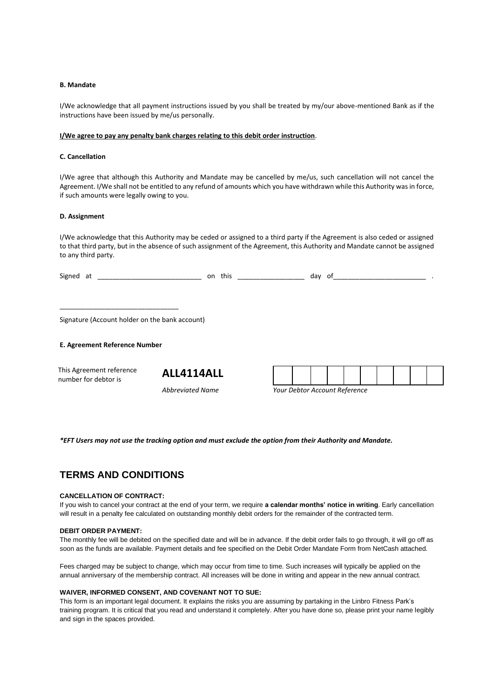#### **B. Mandate**

I/We acknowledge that all payment instructions issued by you shall be treated by my/our above-mentioned Bank as if the instructions have been issued by me/us personally.

#### **I/We agree to pay any penalty bank charges relating to this debit order instruction**.

#### **C. Cancellation**

I/We agree that although this Authority and Mandate may be cancelled by me/us, such cancellation will not cancel the Agreement. I/We shall not be entitled to any refund of amounts which you have withdrawn while this Authority was in force, if such amounts were legally owing to you.

#### **D. Assignment**

I/We acknowledge that this Authority may be ceded or assigned to a third party if the Agreement is also ceded or assigned to that third party, but in the absence of such assignment of the Agreement, this Authority and Mandate cannot be assigned to any third party.

| Signed at |  | on this | dav | .ot |  |
|-----------|--|---------|-----|-----|--|
|           |  |         |     |     |  |
|           |  |         |     |     |  |
|           |  |         |     |     |  |

Signature (Account holder on the bank account)

#### **E. Agreement Reference Number**

This Agreement reference This Agreement reference<br> **ALL4114ALL**<br>
number for debtor is

*Abbreviated Name Your Debtor Account Reference*

*\*EFT Users may not use the tracking option and must exclude the option from their Authority and Mandate.* 

# **TERMS AND CONDITIONS**

#### **CANCELLATION OF CONTRACT:**

If you wish to cancel your contract at the end of your term, we require **a calendar months' notice in writing**. Early cancellation will result in a penalty fee calculated on outstanding monthly debit orders for the remainder of the contracted term.

#### **DEBIT ORDER PAYMENT:**

The monthly fee will be debited on the specified date and will be in advance. If the debit order fails to go through, it will go off as soon as the funds are available. Payment details and fee specified on the Debit Order Mandate Form from NetCash attached.

Fees charged may be subject to change, which may occur from time to time. Such increases will typically be applied on the annual anniversary of the membership contract. All increases will be done in writing and appear in the new annual contract.

#### **WAIVER, INFORMED CONSENT, AND COVENANT NOT TO SUE:**

This form is an important legal document. It explains the risks you are assuming by partaking in the Linbro Fitness Park's training program. It is critical that you read and understand it completely. After you have done so, please print your name legibly and sign in the spaces provided.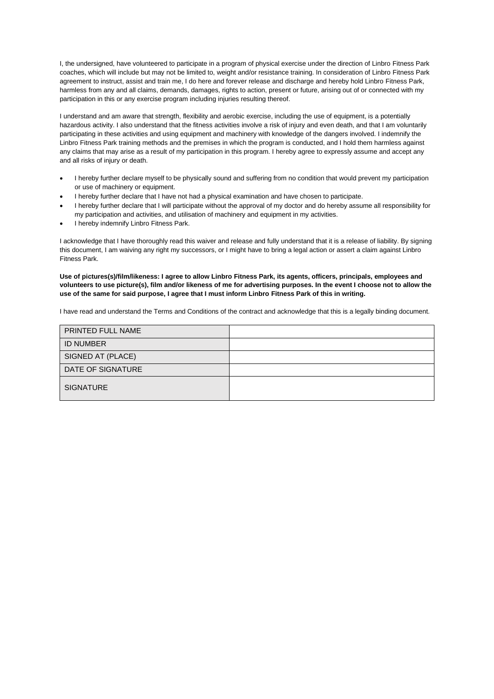I, the undersigned, have volunteered to participate in a program of physical exercise under the direction of Linbro Fitness Park coaches, which will include but may not be limited to, weight and/or resistance training. In consideration of Linbro Fitness Park agreement to instruct, assist and train me, I do here and forever release and discharge and hereby hold Linbro Fitness Park, harmless from any and all claims, demands, damages, rights to action, present or future, arising out of or connected with my participation in this or any exercise program including injuries resulting thereof.

I understand and am aware that strength, flexibility and aerobic exercise, including the use of equipment, is a potentially hazardous activity. I also understand that the fitness activities involve a risk of injury and even death, and that I am voluntarily participating in these activities and using equipment and machinery with knowledge of the dangers involved. I indemnify the Linbro Fitness Park training methods and the premises in which the program is conducted, and I hold them harmless against any claims that may arise as a result of my participation in this program. I hereby agree to expressly assume and accept any and all risks of injury or death.

- I hereby further declare myself to be physically sound and suffering from no condition that would prevent my participation or use of machinery or equipment.
- I hereby further declare that I have not had a physical examination and have chosen to participate.
- I hereby further declare that I will participate without the approval of my doctor and do hereby assume all responsibility for my participation and activities, and utilisation of machinery and equipment in my activities.
- I hereby indemnify Linbro Fitness Park.

I acknowledge that I have thoroughly read this waiver and release and fully understand that it is a release of liability. By signing this document, I am waiving any right my successors, or I might have to bring a legal action or assert a claim against Linbro Fitness Park.

**Use of pictures(s)/film/likeness: I agree to allow Linbro Fitness Park, its agents, officers, principals, employees and volunteers to use picture(s), film and/or likeness of me for advertising purposes. In the event I choose not to allow the use of the same for said purpose, I agree that I must inform Linbro Fitness Park of this in writing.**

I have read and understand the Terms and Conditions of the contract and acknowledge that this is a legally binding document.

| PRINTED FULL NAME |  |
|-------------------|--|
| <b>ID NUMBER</b>  |  |
| SIGNED AT (PLACE) |  |
| DATE OF SIGNATURE |  |
| <b>SIGNATURE</b>  |  |